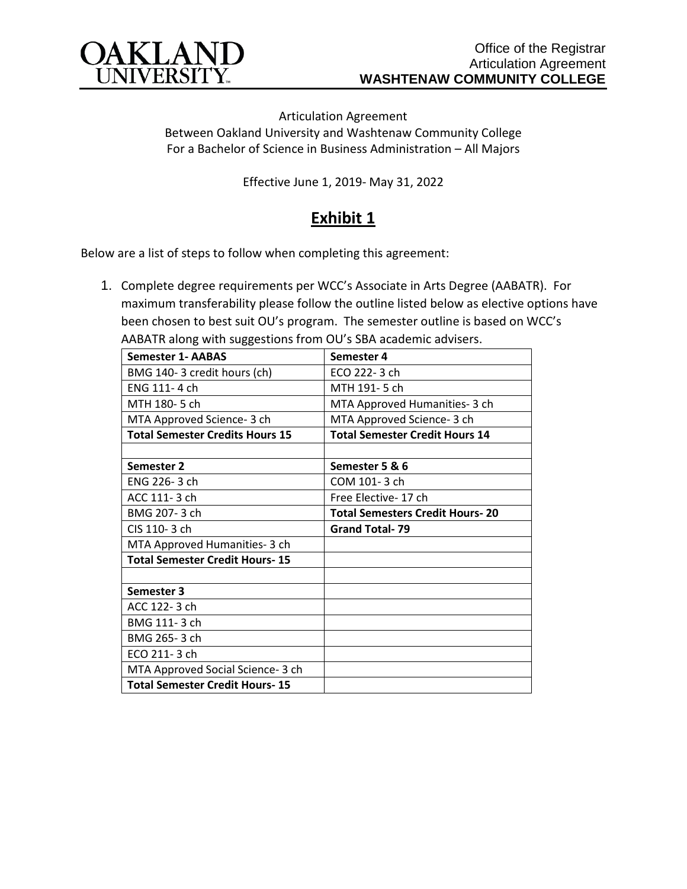

Articulation Agreement Between Oakland University and Washtenaw Community College For a Bachelor of Science in Business Administration – All Majors

Effective June 1, 2019- May 31, 2022

## **Exhibit 1**

Below are a list of steps to follow when completing this agreement:

1. Complete degree requirements per WCC's Associate in Arts Degree (AABATR). For maximum transferability please follow the outline listed below as elective options have been chosen to best suit OU's program. The semester outline is based on WCC's AABATR along with suggestions from OU's SBA academic advisers.

| <b>Semester 1- AABAS</b>               | Semester 4                             |
|----------------------------------------|----------------------------------------|
| BMG 140-3 credit hours (ch)            | ECO 222-3 ch                           |
| ENG 111-4 ch                           | MTH 191-5 ch                           |
| MTH 180-5 ch                           | MTA Approved Humanities- 3 ch          |
| MTA Approved Science- 3 ch             | MTA Approved Science- 3 ch             |
| <b>Total Semester Credits Hours 15</b> | <b>Total Semester Credit Hours 14</b>  |
|                                        |                                        |
| Semester 2                             | Semester 5 & 6                         |
| ENG 226-3 ch                           | COM 101-3 ch                           |
| ACC 111-3 ch                           | Free Elective-17 ch                    |
| BMG 207-3 ch                           | <b>Total Semesters Credit Hours-20</b> |
| CIS 110-3 ch                           | <b>Grand Total-79</b>                  |
| MTA Approved Humanities- 3 ch          |                                        |
| <b>Total Semester Credit Hours-15</b>  |                                        |
|                                        |                                        |
| Semester 3                             |                                        |
| ACC 122-3 ch                           |                                        |
| BMG 111-3 ch                           |                                        |
| BMG 265-3 ch                           |                                        |
| ECO 211-3 ch                           |                                        |
| MTA Approved Social Science- 3 ch      |                                        |
| <b>Total Semester Credit Hours-15</b>  |                                        |